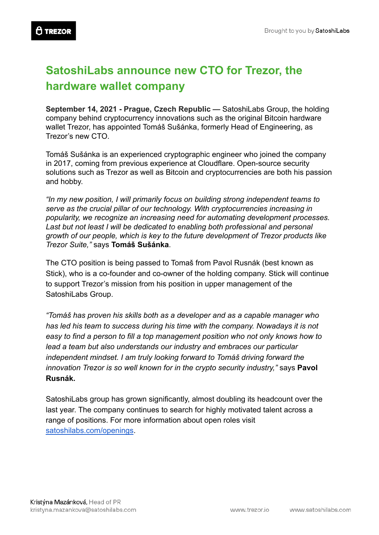## **SatoshiLabs announce new CTO for Trezor, the hardware wallet company**

**September 14, 2021 - Prague, Czech Republic —** SatoshiLabs Group, the holding company behind cryptocurrency innovations such as the original Bitcoin hardware wallet Trezor, has appointed Tomáš Sušánka, formerly Head of Engineering, as Trezor's new CTO.

Tomáš Sušánka is an experienced cryptographic engineer who joined the company in 2017, coming from previous experience at Cloudflare. Open-source security solutions such as Trezor as well as Bitcoin and cryptocurrencies are both his passion and hobby.

*"In my new position, I will primarily focus on building strong independent teams to serve as the crucial pillar of our technology. With cryptocurrencies increasing in popularity, we recognize an increasing need for automating development processes. Last but not least I will be dedicated to enabling both professional and personal growth of our people, which is key to the future development of Trezor products like Trezor Suite,"* says **Tomáš Sušánka**.

The CTO position is being passed to Tomaš from Pavol Rusnák (best known as Stick), who is a co-founder and co-owner of the holding company. Stick will continue to support Trezor's mission from his position in upper management of the SatoshiLabs Group.

*"Tomáš has proven his skills both as a developer and as a capable manager who has led his team to success during his time with the company. Nowadays it is not easy to find a person to fill a top management position who not only knows how to lead a team but also understands our industry and embraces our particular independent mindset. I am truly looking forward to Tomáš driving forward the innovation Trezor is so well known for in the crypto security industry,"* says **Pavol Rusnák.**

SatoshiLabs group has grown significantly, almost doubling its headcount over the last year. The company continues to search for highly motivated talent across a range of positions. For more information about open roles visit [satoshilabs.com/openings](http://satoshilabs.com/openings).